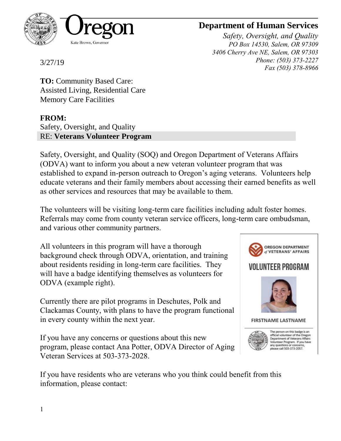

## **Department of Human Services**

*Safety, Oversight, and Quality PO Box 14530, Salem, OR 97309 3406 Cherry Ave NE, Salem, OR 97303 Phone: (503) 373-2227 Fax (503) 378-8966*

3/27/19

**TO:** Community Based Care: Assisted Living, Residential Care Memory Care Facilities

**FROM:**

Safety, Oversight, and Quality RE: **Veterans Volunteer Program**

Safety, Oversight, and Quality (SOQ) and Oregon Department of Veterans Affairs (ODVA) want to inform you about a new veteran volunteer program that was established to expand in-person outreach to Oregon's aging veterans. Volunteers help educate veterans and their family members about accessing their earned benefits as well as other services and resources that may be available to them.

The volunteers will be visiting long-term care facilities including adult foster homes. Referrals may come from county veteran service officers, long-term care ombudsman, and various other community partners.

All volunteers in this program will have a thorough background check through ODVA, orientation, and training about residents residing in long-term care facilities. They will have a badge identifying themselves as volunteers for ODVA (example right).

Currently there are pilot programs in Deschutes, Polk and Clackamas County, with plans to have the program functional in every county within the next year.

If you have any concerns or questions about this new program, please contact Ana Potter, ODVA Director of Aging Veteran Services at 503-373-2028.



If you have residents who are veterans who you think could benefit from this information, please contact: